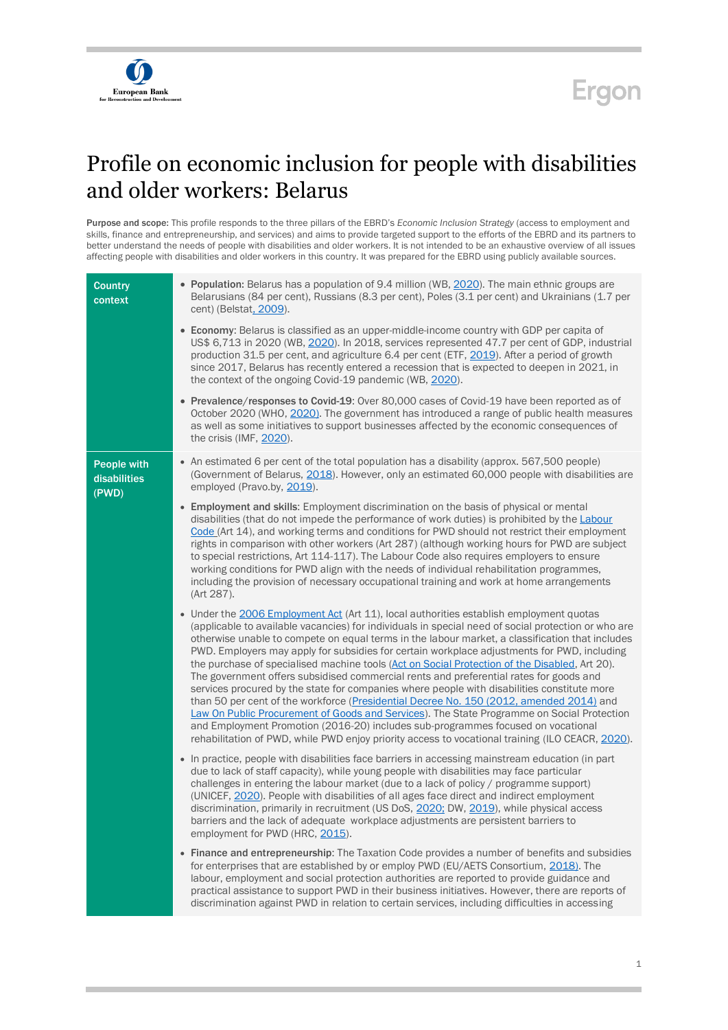



## Profile on economic inclusion for people with disabilities and older workers: Belarus

Purpose and scope: This profile responds to the three pillars of the EBRD's *Economic Inclusion Strategy* (access to employment and skills, finance and entrepreneurship, and services) and aims to provide targeted support to the efforts of the EBRD and its partners to better understand the needs of people with disabilities and older workers. It is not intended to be an exhaustive overview of all issues affecting people with disabilities and older workers in this country. It was prepared for the EBRD using publicly available sources.

| <b>Country</b><br>context            | • Population: Belarus has a population of 9.4 million (WB, 2020). The main ethnic groups are<br>Belarusians (84 per cent), Russians (8.3 per cent), Poles (3.1 per cent) and Ukrainians (1.7 per<br>cent) (Belstat, 2009).                                                                                                                                                                                                                                                                                                                                                                                                                                                                                                                                                                                                                                                                                                                                                                                                                                                  |
|--------------------------------------|-----------------------------------------------------------------------------------------------------------------------------------------------------------------------------------------------------------------------------------------------------------------------------------------------------------------------------------------------------------------------------------------------------------------------------------------------------------------------------------------------------------------------------------------------------------------------------------------------------------------------------------------------------------------------------------------------------------------------------------------------------------------------------------------------------------------------------------------------------------------------------------------------------------------------------------------------------------------------------------------------------------------------------------------------------------------------------|
|                                      | • Economy: Belarus is classified as an upper-middle-income country with GDP per capita of<br>US\$ 6,713 in 2020 (WB, 2020). In 2018, services represented 47.7 per cent of GDP, industrial<br>production 31.5 per cent, and agriculture 6.4 per cent (ETF, 2019). After a period of growth<br>since 2017, Belarus has recently entered a recession that is expected to deepen in 2021, in<br>the context of the ongoing Covid-19 pandemic (WB, 2020).                                                                                                                                                                                                                                                                                                                                                                                                                                                                                                                                                                                                                       |
|                                      | • Prevalence/responses to Covid-19: Over 80,000 cases of Covid-19 have been reported as of<br>October 2020 (WHO, 2020). The government has introduced a range of public health measures<br>as well as some initiatives to support businesses affected by the economic consequences of<br>the crisis (IMF, 2020).                                                                                                                                                                                                                                                                                                                                                                                                                                                                                                                                                                                                                                                                                                                                                            |
| People with<br>disabilities<br>(PWD) | • An estimated 6 per cent of the total population has a disability (approx. 567,500 people)<br>(Government of Belarus, 2018). However, only an estimated 60,000 people with disabilities are<br>employed (Pravo.by, 2019).                                                                                                                                                                                                                                                                                                                                                                                                                                                                                                                                                                                                                                                                                                                                                                                                                                                  |
|                                      | • Employment and skills: Employment discrimination on the basis of physical or mental<br>disabilities (that do not impede the performance of work duties) is prohibited by the Labour<br>Code (Art 14), and working terms and conditions for PWD should not restrict their employment<br>rights in comparison with other workers (Art 287) (although working hours for PWD are subject<br>to special restrictions, Art 114-117). The Labour Code also requires employers to ensure<br>working conditions for PWD align with the needs of individual rehabilitation programmes,<br>including the provision of necessary occupational training and work at home arrangements<br>(Art 287).                                                                                                                                                                                                                                                                                                                                                                                    |
|                                      | • Under the 2006 Employment Act (Art 11), local authorities establish employment quotas<br>(applicable to available vacancies) for individuals in special need of social protection or who are<br>otherwise unable to compete on equal terms in the labour market, a classification that includes<br>PWD. Employers may apply for subsidies for certain workplace adjustments for PWD, including<br>the purchase of specialised machine tools (Act on Social Protection of the Disabled, Art 20).<br>The government offers subsidised commercial rents and preferential rates for goods and<br>services procured by the state for companies where people with disabilities constitute more<br>than 50 per cent of the workforce (Presidential Decree No. 150 (2012, amended 2014) and<br>Law On Public Procurement of Goods and Services). The State Programme on Social Protection<br>and Employment Promotion (2016-20) includes sub-programmes focused on vocational<br>rehabilitation of PWD, while PWD enjoy priority access to vocational training (ILO CEACR, 2020). |
|                                      | • In practice, people with disabilities face barriers in accessing mainstream education (in part<br>due to lack of staff capacity), while young people with disabilities may face particular<br>challenges in entering the labour market (due to a lack of policy / programme support)<br>(UNICEF, 2020). People with disabilities of all ages face direct and indirect employment<br>discrimination, primarily in recruitment (US DoS, 2020; DW, 2019), while physical access<br>barriers and the lack of adequate workplace adjustments are persistent barriers to<br>employment for PWD (HRC, 2015).                                                                                                                                                                                                                                                                                                                                                                                                                                                                     |
|                                      | • Finance and entrepreneurship: The Taxation Code provides a number of benefits and subsidies<br>for enterprises that are established by or employ PWD (EU/AETS Consortium, 2018). The<br>labour, employment and social protection authorities are reported to provide guidance and<br>practical assistance to support PWD in their business initiatives. However, there are reports of<br>discrimination against PWD in relation to certain services, including difficulties in accessing                                                                                                                                                                                                                                                                                                                                                                                                                                                                                                                                                                                  |